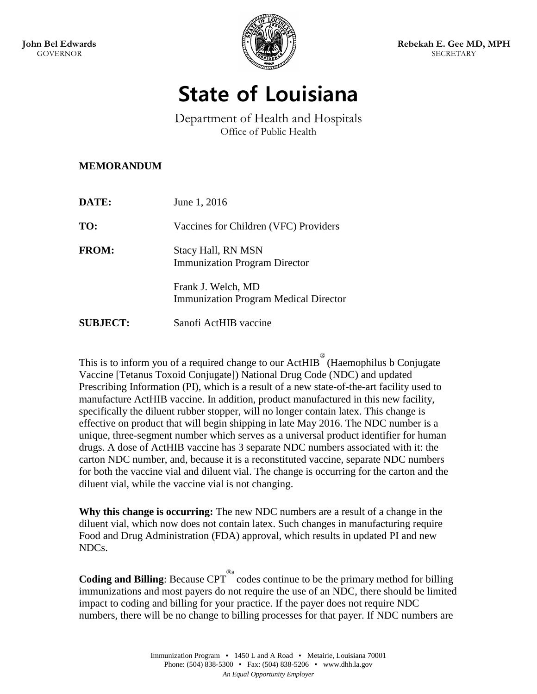

## **State of Louisiana**

Department of Health and Hospitals Office of Public Health

## **MEMORANDUM**

| DATE:           | June 1, 2016                                                       |
|-----------------|--------------------------------------------------------------------|
| TO:             | Vaccines for Children (VFC) Providers                              |
| <b>FROM:</b>    | <b>Stacy Hall, RN MSN</b><br><b>Immunization Program Director</b>  |
|                 | Frank J. Welch, MD<br><b>Immunization Program Medical Director</b> |
| <b>SUBJECT:</b> | Sanofi ActHIB vaccine                                              |

This is to inform you of a required change to our  $\text{ActHIB}^{\circledR}$  (Haemophilus b Conjugate Vaccine [Tetanus Toxoid Conjugate]) National Drug Code (NDC) and updated Prescribing Information (PI), which is a result of a new state-of-the-art facility used to manufacture ActHIB vaccine. In addition, product manufactured in this new facility, specifically the diluent rubber stopper, will no longer contain latex. This change is effective on product that will begin shipping in late May 2016. The NDC number is a unique, three-segment number which serves as a universal product identifier for human drugs. A dose of ActHIB vaccine has 3 separate NDC numbers associated with it: the carton NDC number, and, because it is a reconstituted vaccine, separate NDC numbers for both the vaccine vial and diluent vial. The change is occurring for the carton and the diluent vial, while the vaccine vial is not changing.

**Why this change is occurring:** The new NDC numbers are a result of a change in the diluent vial, which now does not contain latex. Such changes in manufacturing require Food and Drug Administration (FDA) approval, which results in updated PI and new NDCs.

**Coding and Billing**: Because CPT<sup>®</sup> codes continue to be the primary method for billing immunizations and most payers do not require the use of an NDC, there should be limited impact to coding and billing for your practice. If the payer does not require NDC numbers, there will be no change to billing processes for that payer. If NDC numbers are